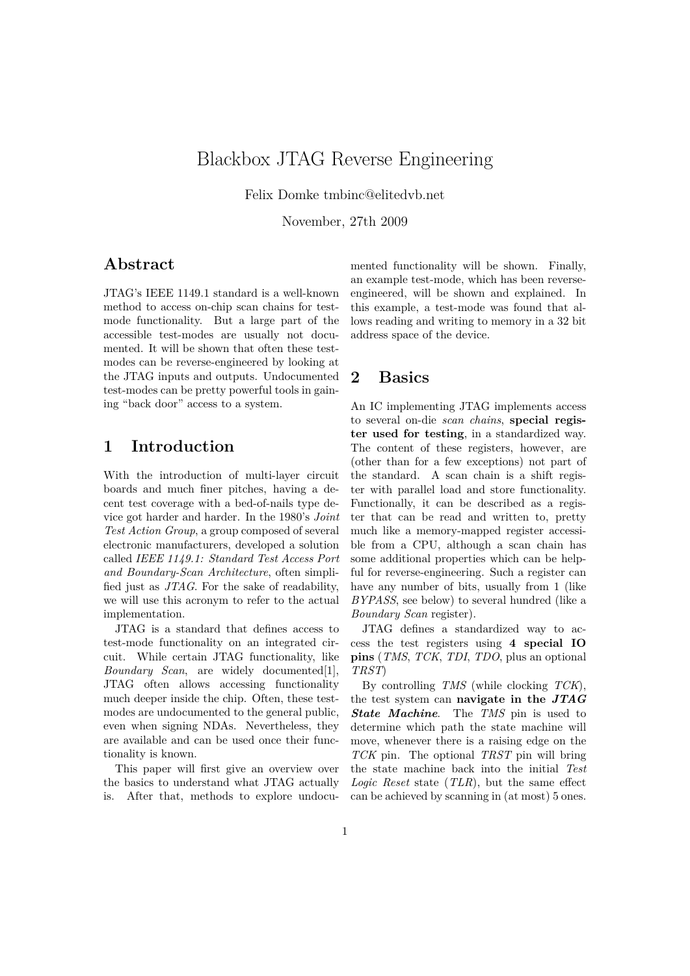# Blackbox JTAG Reverse Engineering

Felix Domke tmbinc@elitedvb.net

November, 27th 2009

#### **Abstract**

JTAG's IEEE 1149.1 standard is a well-known method to access on-chip scan chains for testmode functionality. But a large part of the accessible test-modes are usually not documented. It will be shown that often these testmodes can be reverse-engineered by looking at the JTAG inputs and outputs. Undocumented test-modes can be pretty powerful tools in gaining "back door" access to a system.

## **1 Introduction**

With the introduction of multi-layer circuit boards and much finer pitches, having a decent test coverage with a bed-of-nails type device got harder and harder. In the 1980's *Joint Test Action Group*, a group composed of several electronic manufacturers, developed a solution called *IEEE 1149.1: Standard Test Access Port and Boundary-Scan Architecture*, often simplified just as *JTAG*. For the sake of readability, we will use this acronym to refer to the actual implementation.

JTAG is a standard that defines access to test-mode functionality on an integrated circuit. While certain JTAG functionality, like *Boundary Scan*, are widely documented[1], JTAG often allows accessing functionality much deeper inside the chip. Often, these testmodes are undocumented to the general public, even when signing NDAs. Nevertheless, they are available and can be used once their functionality is known.

This paper will first give an overview over the basics to understand what JTAG actually is. After that, methods to explore undocumented functionality will be shown. Finally, an example test-mode, which has been reverseengineered, will be shown and explained. In this example, a test-mode was found that allows reading and writing to memory in a 32 bit address space of the device.

## **2 Basics**

An IC implementing JTAG implements access to several on-die *scan chains*, **special register used for testing**, in a standardized way. The content of these registers, however, are (other than for a few exceptions) not part of the standard. A scan chain is a shift register with parallel load and store functionality. Functionally, it can be described as a register that can be read and written to, pretty much like a memory-mapped register accessible from a CPU, although a scan chain has some additional properties which can be helpful for reverse-engineering. Such a register can have any number of bits, usually from 1 (like *BYPASS*, see below) to several hundred (like a *Boundary Scan* register).

JTAG defines a standardized way to access the test registers using **4 special IO pins** (*TMS*, *TCK*, *TDI*, *TDO*, plus an optional *TRST*)

By controlling *TMS* (while clocking *TCK*), the test system can **navigate in the** *JTAG State Machine*. The *TMS* pin is used to determine which path the state machine will move, whenever there is a raising edge on the *TCK* pin. The optional *TRST* pin will bring the state machine back into the initial *Test Logic Reset* state (*TLR*), but the same effect can be achieved by scanning in (at most) 5 ones.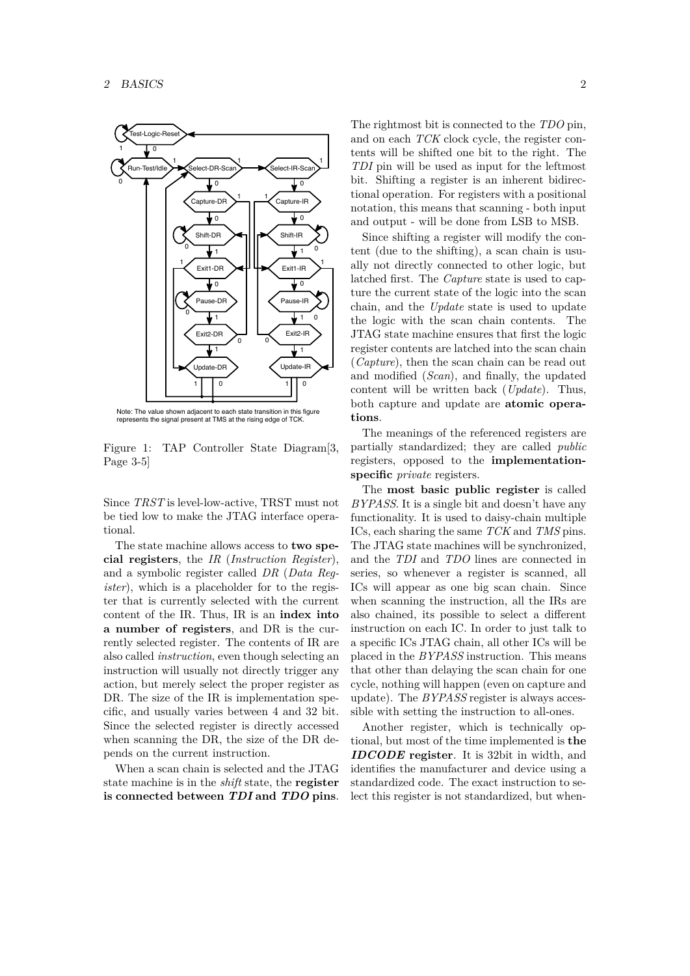

Note: The value shown adjacent to each state transition in this figure represents the signal present at TMS at the rising edge of TCK.

Figure 1: TAP Controller State Diagram[3, Page 3-5]

Since *TRST* is level-low-active, TRST must not be tied low to make the JTAG interface operational.

The state machine allows access to **two special registers**, the *IR* (*Instruction Register*), and a symbolic register called *DR* (*Data Register*), which is a placeholder for to the register that is currently selected with the current content of the IR. Thus, IR is an **index into a number of registers**, and DR is the currently selected register. The contents of IR are also called *instruction*, even though selecting an instruction will usually not directly trigger any action, but merely select the proper register as DR. The size of the IR is implementation specific, and usually varies between 4 and 32 bit. Since the selected register is directly accessed when scanning the DR, the size of the DR depends on the current instruction.

When a scan chain is selected and the JTAG state machine is in the *shift* state, the **register is connected between** *TDI* **and** *TDO* **pins**. The rightmost bit is connected to the *TDO* pin, and on each *TCK* clock cycle, the register contents will be shifted one bit to the right. The *TDI* pin will be used as input for the leftmost bit. Shifting a register is an inherent bidirectional operation. For registers with a positional notation, this means that scanning - both input and output - will be done from LSB to MSB.

Since shifting a register will modify the content (due to the shifting), a scan chain is usually not directly connected to other logic, but latched first. The *Capture* state is used to capture the current state of the logic into the scan chain, and the *Update* state is used to update the logic with the scan chain contents. The JTAG state machine ensures that first the logic register contents are latched into the scan chain (*Capture*), then the scan chain can be read out and modified (*Scan*), and finally, the updated content will be written back (*Update*). Thus, both capture and update are **atomic operations**.

specific *private* registers. The meanings of the referenced registers are partially standardized; they are called *public* registers, opposed to the **implementation-**

The **most basic public register** is called *BYPASS*. It is a single bit and doesn't have any functionality. It is used to daisy-chain multiple ICs, each sharing the same *TCK* and *TMS* pins. The JTAG state machines will be synchronized, and the *TDI* and *TDO* lines are connected in series, so whenever a register is scanned, all ICs will appear as one big scan chain. Since when scanning the instruction, all the IRs are also chained, its possible to select a different instruction on each IC. In order to just talk to a specific ICs JTAG chain, all other ICs will be placed in the *BYPASS* instruction. This means that other than delaying the scan chain for one cycle, nothing will happen (even on capture and update). The *BYPASS* register is always accessible with setting the instruction to all-ones.

Another register, which is technically optional, but most of the time implemented is **the** *IDCODE* **register**. It is 32bit in width, and identifies the manufacturer and device using a standardized code. The exact instruction to select this register is not standardized, but when-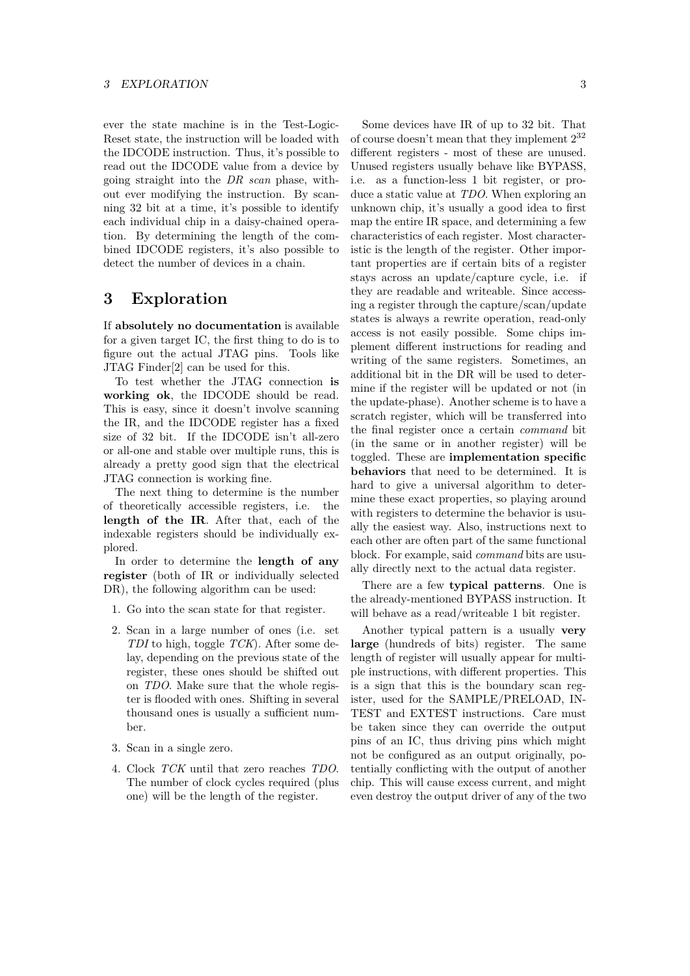ever the state machine is in the Test-Logic-Reset state, the instruction will be loaded with the IDCODE instruction. Thus, it's possible to read out the IDCODE value from a device by going straight into the *DR scan* phase, without ever modifying the instruction. By scanning 32 bit at a time, it's possible to identify each individual chip in a daisy-chained operation. By determining the length of the combined IDCODE registers, it's also possible to detect the number of devices in a chain.

#### **3 Exploration**

If **absolutely no documentation** is available for a given target IC, the first thing to do is to figure out the actual JTAG pins. Tools like JTAG Finder[2] can be used for this.

To test whether the JTAG connection **is working ok**, the IDCODE should be read. This is easy, since it doesn't involve scanning the IR, and the IDCODE register has a fixed size of 32 bit. If the IDCODE isn't all-zero or all-one and stable over multiple runs, this is already a pretty good sign that the electrical JTAG connection is working fine.

The next thing to determine is the number of theoretically accessible registers, i.e. the **length of the IR**. After that, each of the indexable registers should be individually explored.

In order to determine the **length of any register** (both of IR or individually selected DR), the following algorithm can be used:

- 1. Go into the scan state for that register.
- 2. Scan in a large number of ones (i.e. set *TDI* to high, toggle *TCK*). After some delay, depending on the previous state of the register, these ones should be shifted out on *TDO*. Make sure that the whole register is flooded with ones. Shifting in several thousand ones is usually a sufficient number.
- 3. Scan in a single zero.
- 4. Clock *TCK* until that zero reaches *TDO*. The number of clock cycles required (plus one) will be the length of the register.

Some devices have IR of up to 32 bit. That of course doesn't mean that they implement 2<sup>32</sup> different registers - most of these are unused. Unused registers usually behave like BYPASS, i.e. as a function-less 1 bit register, or produce a static value at *TDO*. When exploring an unknown chip, it's usually a good idea to first map the entire IR space, and determining a few characteristics of each register. Most characteristic is the length of the register. Other important properties are if certain bits of a register stays across an update/capture cycle, i.e. if they are readable and writeable. Since accessing a register through the capture/scan/update states is always a rewrite operation, read-only access is not easily possible. Some chips implement different instructions for reading and writing of the same registers. Sometimes, an additional bit in the DR will be used to determine if the register will be updated or not (in the update-phase). Another scheme is to have a scratch register, which will be transferred into the final register once a certain *command* bit (in the same or in another register) will be toggled. These are **implementation specific behaviors** that need to be determined. It is hard to give a universal algorithm to determine these exact properties, so playing around with registers to determine the behavior is usually the easiest way. Also, instructions next to each other are often part of the same functional block. For example, said *command* bits are usually directly next to the actual data register.

There are a few **typical patterns**. One is the already-mentioned BYPASS instruction. It will behave as a read/writeable 1 bit register.

Another typical pattern is a usually **very large** (hundreds of bits) register. The same length of register will usually appear for multiple instructions, with different properties. This is a sign that this is the boundary scan register, used for the SAMPLE/PRELOAD, IN-TEST and EXTEST instructions. Care must be taken since they can override the output pins of an IC, thus driving pins which might not be configured as an output originally, potentially conflicting with the output of another chip. This will cause excess current, and might even destroy the output driver of any of the two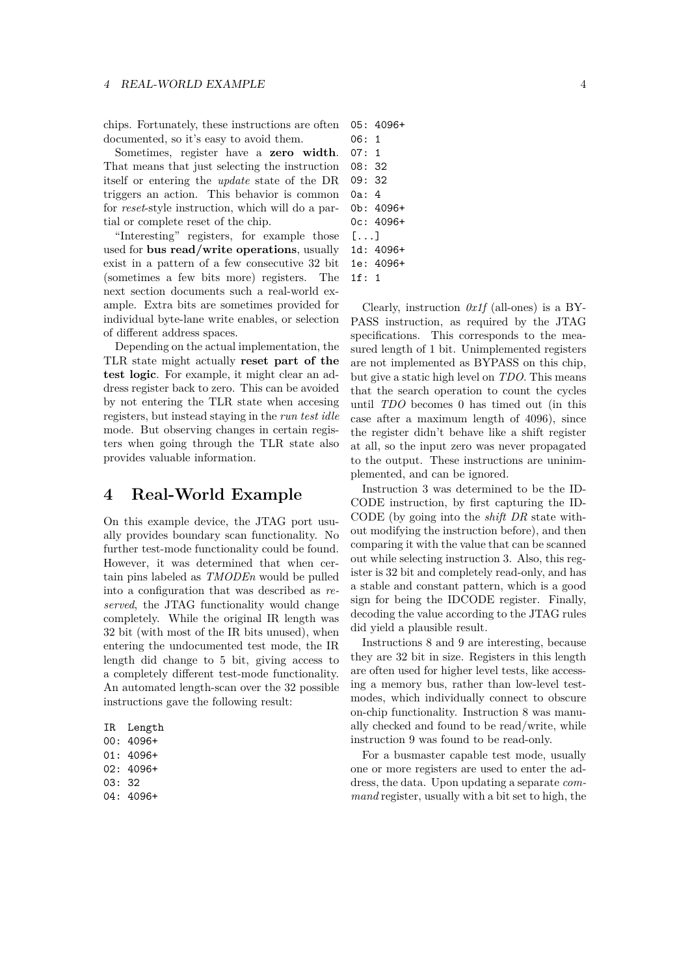chips. Fortunately, these instructions are often documented, so it's easy to avoid them.

Sometimes, register have a **zero width**. That means that just selecting the instruction itself or entering the *update* state of the DR triggers an action. This behavior is common for *reset*-style instruction, which will do a partial or complete reset of the chip.

"Interesting" registers, for example those used for **bus read/write operations**, usually exist in a pattern of a few consecutive 32 bit (sometimes a few bits more) registers. The next section documents such a real-world example. Extra bits are sometimes provided for individual byte-lane write enables, or selection of different address spaces.

Depending on the actual implementation, the TLR state might actually **reset part of the test logic**. For example, it might clear an address register back to zero. This can be avoided by not entering the TLR state when accesing registers, but instead staying in the *run test idle* mode. But observing changes in certain registers when going through the TLR state also provides valuable information.

#### **4 Real-World Example**

On this example device, the JTAG port usually provides boundary scan functionality. No further test-mode functionality could be found. However, it was determined that when certain pins labeled as *TMODEn* would be pulled into a configuration that was described as *reserved*, the JTAG functionality would change completely. While the original IR length was 32 bit (with most of the IR bits unused), when entering the undocumented test mode, the IR length did change to 5 bit, giving access to a completely different test-mode functionality. An automated length-scan over the 32 possible instructions gave the following result:

IR Length 00: 4096+ 01: 4096+ 02: 4096+ 03: 32 04: 4096+

|        | 05: 4096+ |
|--------|-----------|
| 06 : _ | 1         |
| 07 :   | 1         |
| 08: 32 |           |
| 09: 32 |           |
| 0a: 4  |           |
|        | 0h: 4096+ |
|        | 0c: 4096+ |
| []     |           |
|        | 1d: 4096+ |
|        | 1e: 4096+ |

1f: 1

Clearly, instruction *0x1f* (all-ones) is a BY-PASS instruction, as required by the JTAG specifications. This corresponds to the measured length of 1 bit. Unimplemented registers are not implemented as BYPASS on this chip, but give a static high level on *TDO*. This means that the search operation to count the cycles until *TDO* becomes 0 has timed out (in this case after a maximum length of 4096), since the register didn't behave like a shift register at all, so the input zero was never propagated to the output. These instructions are uninimplemented, and can be ignored.

Instruction 3 was determined to be the ID-CODE instruction, by first capturing the ID-CODE (by going into the *shift DR* state without modifying the instruction before), and then comparing it with the value that can be scanned out while selecting instruction 3. Also, this register is 32 bit and completely read-only, and has a stable and constant pattern, which is a good sign for being the IDCODE register. Finally, decoding the value according to the JTAG rules did yield a plausible result.

Instructions 8 and 9 are interesting, because they are 32 bit in size. Registers in this length are often used for higher level tests, like accessing a memory bus, rather than low-level testmodes, which individually connect to obscure on-chip functionality. Instruction 8 was manually checked and found to be read/write, while instruction 9 was found to be read-only.

For a busmaster capable test mode, usually one or more registers are used to enter the address, the data. Upon updating a separate *command* register, usually with a bit set to high, the